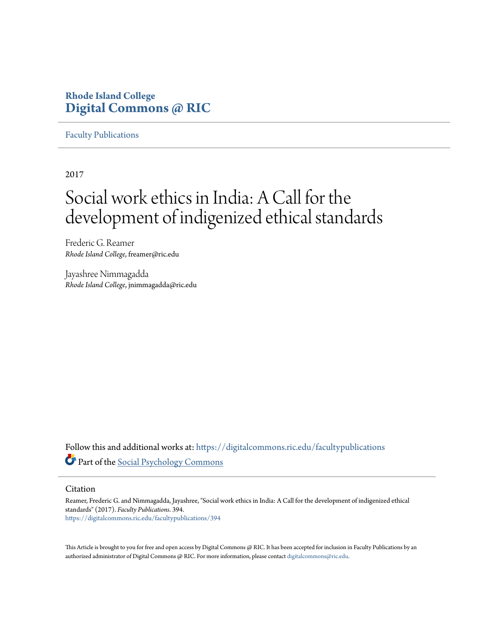# **Rhode Island College [Digital Commons @ RIC](https://digitalcommons.ric.edu?utm_source=digitalcommons.ric.edu%2Ffacultypublications%2F394&utm_medium=PDF&utm_campaign=PDFCoverPages)**

## [Faculty Publications](https://digitalcommons.ric.edu/facultypublications?utm_source=digitalcommons.ric.edu%2Ffacultypublications%2F394&utm_medium=PDF&utm_campaign=PDFCoverPages)

2017

# Social work ethics in India: A Call for the development of indigenized ethical standards

Frederic G. Reamer *Rhode Island College*, freamer@ric.edu

Jayashree Nimmagadda *Rhode Island College*, jnimmagadda@ric.edu

Follow this and additional works at: [https://digitalcommons.ric.edu/facultypublications](https://digitalcommons.ric.edu/facultypublications?utm_source=digitalcommons.ric.edu%2Ffacultypublications%2F394&utm_medium=PDF&utm_campaign=PDFCoverPages) Part of the [Social Psychology Commons](http://network.bepress.com/hgg/discipline/414?utm_source=digitalcommons.ric.edu%2Ffacultypublications%2F394&utm_medium=PDF&utm_campaign=PDFCoverPages)

#### Citation

Reamer, Frederic G. and Nimmagadda, Jayashree, "Social work ethics in India: A Call for the development of indigenized ethical standards" (2017). *Faculty Publications*. 394. [https://digitalcommons.ric.edu/facultypublications/394](https://digitalcommons.ric.edu/facultypublications/394?utm_source=digitalcommons.ric.edu%2Ffacultypublications%2F394&utm_medium=PDF&utm_campaign=PDFCoverPages)

This Article is brought to you for free and open access by Digital Commons  $\varpi$  RIC. It has been accepted for inclusion in Faculty Publications by an authorized administrator of Digital Commons @ RIC. For more information, please contact [digitalcommons@ric.edu.](mailto:digitalcommons@ric.edu)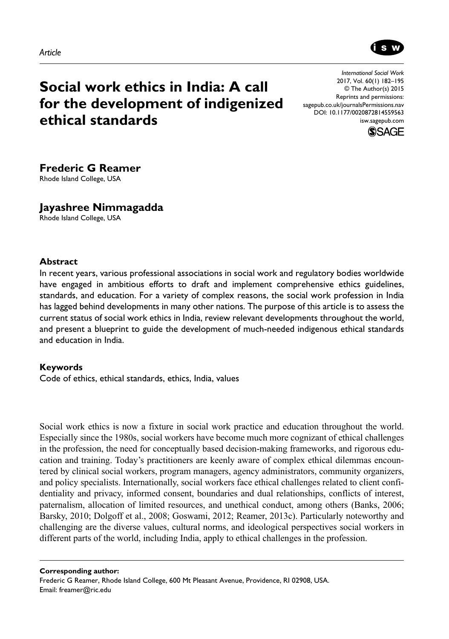

# **Social work ethics in India: A call for the development of indigenized ethical standards**

*International Social Work* 2017, Vol. 60(1) 182–195 © The Author(s) 2015 Reprints and permissions: sagepub.co.uk/journalsPermissions.nav DOI: 10.1177/0020872814559563 isw.sagepub.com



#### **Frederic G Reamer** Rhode Island College, USA

**Jayashree Nimmagadda**

Rhode Island College, USA

#### **Abstract**

In recent years, various professional associations in social work and regulatory bodies worldwide have engaged in ambitious efforts to draft and implement comprehensive ethics guidelines, standards, and education. For a variety of complex reasons, the social work profession in India has lagged behind developments in many other nations. The purpose of this article is to assess the current status of social work ethics in India, review relevant developments throughout the world, and present a blueprint to guide the development of much-needed indigenous ethical standards and education in India.

#### **Keywords**

Code of ethics, ethical standards, ethics, India, values

Social work ethics is now a fixture in social work practice and education throughout the world. Especially since the 1980s, social workers have become much more cognizant of ethical challenges in the profession, the need for conceptually based decision-making frameworks, and rigorous education and training. Today's practitioners are keenly aware of complex ethical dilemmas encountered by clinical social workers, program managers, agency administrators, community organizers, and policy specialists. Internationally, social workers face ethical challenges related to client confidentiality and privacy, informed consent, boundaries and dual relationships, conflicts of interest, paternalism, allocation of limited resources, and unethical conduct, among others (Banks, 2006; Barsky, 2010; Dolgoff et al., 2008; Goswami, 2012; Reamer, 2013c). Particularly noteworthy and challenging are the diverse values, cultural norms, and ideological perspectives social workers in different parts of the world, including India, apply to ethical challenges in the profession.

**Corresponding author:** Frederic G Reamer, Rhode Island College, 600 Mt Pleasant Avenue, Providence, RI 02908, USA. Email: freamer@ric.edu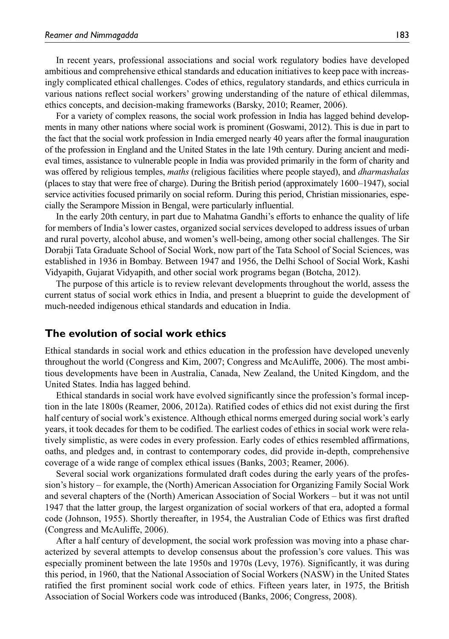In recent years, professional associations and social work regulatory bodies have developed ambitious and comprehensive ethical standards and education initiatives to keep pace with increasingly complicated ethical challenges. Codes of ethics, regulatory standards, and ethics curricula in various nations reflect social workers' growing understanding of the nature of ethical dilemmas, ethics concepts, and decision-making frameworks (Barsky, 2010; Reamer, 2006).

For a variety of complex reasons, the social work profession in India has lagged behind developments in many other nations where social work is prominent (Goswami, 2012). This is due in part to the fact that the social work profession in India emerged nearly 40 years after the formal inauguration of the profession in England and the United States in the late 19th century. During ancient and medieval times, assistance to vulnerable people in India was provided primarily in the form of charity and was offered by religious temples, *maths* (religious facilities where people stayed), and *dharmashalas* (places to stay that were free of charge). During the British period (approximately 1600–1947), social service activities focused primarily on social reform. During this period, Christian missionaries, especially the Serampore Mission in Bengal, were particularly influential.

In the early 20th century, in part due to Mahatma Gandhi's efforts to enhance the quality of life for members of India's lower castes, organized social services developed to address issues of urban and rural poverty, alcohol abuse, and women's well-being, among other social challenges. The Sir Dorabji Tata Graduate School of Social Work, now part of the Tata School of Social Sciences, was established in 1936 in Bombay. Between 1947 and 1956, the Delhi School of Social Work, Kashi Vidyapith, Gujarat Vidyapith, and other social work programs began (Botcha, 2012).

The purpose of this article is to review relevant developments throughout the world, assess the current status of social work ethics in India, and present a blueprint to guide the development of much-needed indigenous ethical standards and education in India.

#### **The evolution of social work ethics**

Ethical standards in social work and ethics education in the profession have developed unevenly throughout the world (Congress and Kim, 2007; Congress and McAuliffe, 2006). The most ambitious developments have been in Australia, Canada, New Zealand, the United Kingdom, and the United States. India has lagged behind.

Ethical standards in social work have evolved significantly since the profession's formal inception in the late 1800s (Reamer, 2006, 2012a). Ratified codes of ethics did not exist during the first half century of social work's existence. Although ethical norms emerged during social work's early years, it took decades for them to be codified. The earliest codes of ethics in social work were relatively simplistic, as were codes in every profession. Early codes of ethics resembled affirmations, oaths, and pledges and, in contrast to contemporary codes, did provide in-depth, comprehensive coverage of a wide range of complex ethical issues (Banks, 2003; Reamer, 2006).

Several social work organizations formulated draft codes during the early years of the profession's history – for example, the (North) American Association for Organizing Family Social Work and several chapters of the (North) American Association of Social Workers – but it was not until 1947 that the latter group, the largest organization of social workers of that era, adopted a formal code (Johnson, 1955). Shortly thereafter, in 1954, the Australian Code of Ethics was first drafted (Congress and McAuliffe, 2006).

After a half century of development, the social work profession was moving into a phase characterized by several attempts to develop consensus about the profession's core values. This was especially prominent between the late 1950s and 1970s (Levy, 1976). Significantly, it was during this period, in 1960, that the National Association of Social Workers (NASW) in the United States ratified the first prominent social work code of ethics. Fifteen years later, in 1975, the British Association of Social Workers code was introduced (Banks, 2006; Congress, 2008).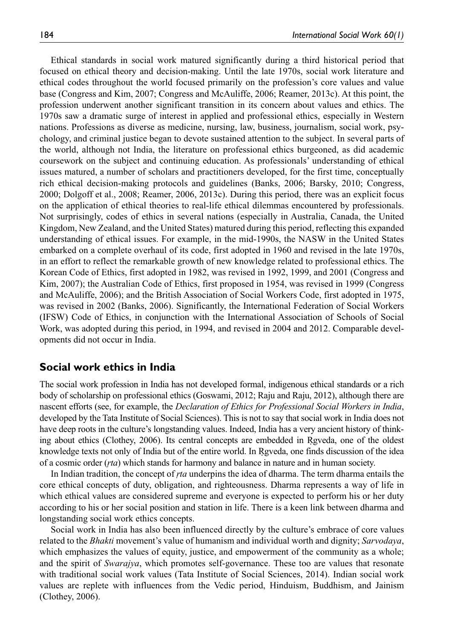Ethical standards in social work matured significantly during a third historical period that focused on ethical theory and decision-making. Until the late 1970s, social work literature and ethical codes throughout the world focused primarily on the profession's core values and value base (Congress and Kim, 2007; Congress and McAuliffe, 2006; Reamer, 2013c). At this point, the profession underwent another significant transition in its concern about values and ethics. The 1970s saw a dramatic surge of interest in applied and professional ethics, especially in Western nations. Professions as diverse as medicine, nursing, law, business, journalism, social work, psychology, and criminal justice began to devote sustained attention to the subject. In several parts of the world, although not India, the literature on professional ethics burgeoned, as did academic coursework on the subject and continuing education. As professionals' understanding of ethical issues matured, a number of scholars and practitioners developed, for the first time, conceptually rich ethical decision-making protocols and guidelines (Banks, 2006; Barsky, 2010; Congress, 2000; Dolgoff et al., 2008; Reamer, 2006, 2013c). During this period, there was an explicit focus on the application of ethical theories to real-life ethical dilemmas encountered by professionals. Not surprisingly, codes of ethics in several nations (especially in Australia, Canada, the United Kingdom, New Zealand, and the United States) matured during this period, reflecting this expanded understanding of ethical issues. For example, in the mid-1990s, the NASW in the United States embarked on a complete overhaul of its code, first adopted in 1960 and revised in the late 1970s, in an effort to reflect the remarkable growth of new knowledge related to professional ethics. The Korean Code of Ethics, first adopted in 1982, was revised in 1992, 1999, and 2001 (Congress and Kim, 2007); the Australian Code of Ethics, first proposed in 1954, was revised in 1999 (Congress and McAuliffe, 2006); and the British Association of Social Workers Code, first adopted in 1975, was revised in 2002 (Banks, 2006). Significantly, the International Federation of Social Workers (IFSW) Code of Ethics, in conjunction with the International Association of Schools of Social Work, was adopted during this period, in 1994, and revised in 2004 and 2012. Comparable developments did not occur in India.

#### **Social work ethics in India**

The social work profession in India has not developed formal, indigenous ethical standards or a rich body of scholarship on professional ethics (Goswami, 2012; Raju and Raju, 2012), although there are nascent efforts (see, for example, the *Declaration of Ethics for Professional Social Workers in India*, developed by the Tata Institute of Social Sciences). This is not to say that social work in India does not have deep roots in the culture's longstanding values. Indeed, India has a very ancient history of thinking about ethics (Clothey, 2006). Its central concepts are embedded in Rgveda, one of the oldest knowledge texts not only of India but of the entire world. In Rgveda, one finds discussion of the idea of a cosmic order (*rta*) which stands for harmony and balance in nature and in human society.

In Indian tradition, the concept of *rta* underpins the idea of dharma. The term dharma entails the core ethical concepts of duty, obligation, and righteousness. Dharma represents a way of life in which ethical values are considered supreme and everyone is expected to perform his or her duty according to his or her social position and station in life. There is a keen link between dharma and longstanding social work ethics concepts.

Social work in India has also been influenced directly by the culture's embrace of core values related to the *Bhakti* movement's value of humanism and individual worth and dignity; *Sarvodaya*, which emphasizes the values of equity, justice, and empowerment of the community as a whole; and the spirit of *Swarajya*, which promotes self-governance. These too are values that resonate with traditional social work values (Tata Institute of Social Sciences, 2014). Indian social work values are replete with influences from the Vedic period, Hinduism, Buddhism, and Jainism (Clothey, 2006).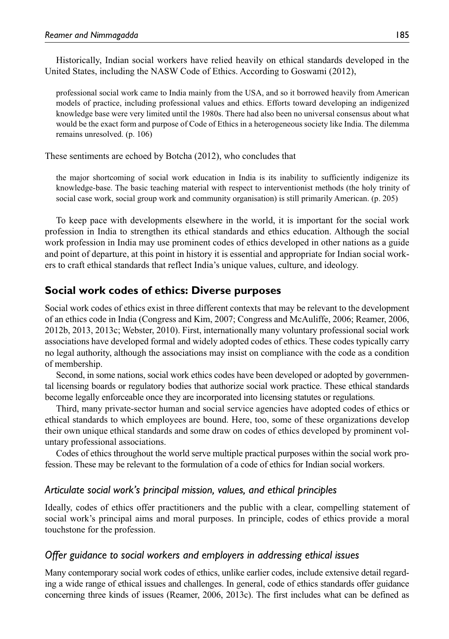Historically, Indian social workers have relied heavily on ethical standards developed in the United States, including the NASW Code of Ethics. According to Goswami (2012),

professional social work came to India mainly from the USA, and so it borrowed heavily from American models of practice, including professional values and ethics. Efforts toward developing an indigenized knowledge base were very limited until the 1980s. There had also been no universal consensus about what would be the exact form and purpose of Code of Ethics in a heterogeneous society like India. The dilemma remains unresolved. (p. 106)

These sentiments are echoed by Botcha (2012), who concludes that

the major shortcoming of social work education in India is its inability to sufficiently indigenize its knowledge-base. The basic teaching material with respect to interventionist methods (the holy trinity of social case work, social group work and community organisation) is still primarily American. (p. 205)

To keep pace with developments elsewhere in the world, it is important for the social work profession in India to strengthen its ethical standards and ethics education. Although the social work profession in India may use prominent codes of ethics developed in other nations as a guide and point of departure, at this point in history it is essential and appropriate for Indian social workers to craft ethical standards that reflect India's unique values, culture, and ideology.

### **Social work codes of ethics: Diverse purposes**

Social work codes of ethics exist in three different contexts that may be relevant to the development of an ethics code in India (Congress and Kim, 2007; Congress and McAuliffe, 2006; Reamer, 2006, 2012b, 2013, 2013c; Webster, 2010). First, internationally many voluntary professional social work associations have developed formal and widely adopted codes of ethics. These codes typically carry no legal authority, although the associations may insist on compliance with the code as a condition of membership.

Second, in some nations, social work ethics codes have been developed or adopted by governmental licensing boards or regulatory bodies that authorize social work practice. These ethical standards become legally enforceable once they are incorporated into licensing statutes or regulations.

Third, many private-sector human and social service agencies have adopted codes of ethics or ethical standards to which employees are bound. Here, too, some of these organizations develop their own unique ethical standards and some draw on codes of ethics developed by prominent voluntary professional associations.

Codes of ethics throughout the world serve multiple practical purposes within the social work profession. These may be relevant to the formulation of a code of ethics for Indian social workers.

#### *Articulate social work's principal mission, values, and ethical principles*

Ideally, codes of ethics offer practitioners and the public with a clear, compelling statement of social work's principal aims and moral purposes. In principle, codes of ethics provide a moral touchstone for the profession.

#### *Offer guidance to social workers and employers in addressing ethical issues*

Many contemporary social work codes of ethics, unlike earlier codes, include extensive detail regarding a wide range of ethical issues and challenges. In general, code of ethics standards offer guidance concerning three kinds of issues (Reamer, 2006, 2013c). The first includes what can be defined as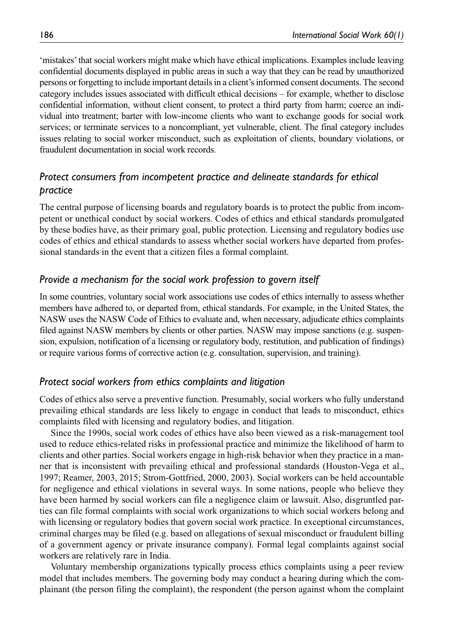'mistakes' that social workers might make which have ethical implications. Examples include leaving confidential documents displayed in public areas in such a way that they can be read by unauthorized persons or forgetting to include important details in a client's informed consent documents. The second category includes issues associated with difficult ethical decisions – for example, whether to disclose confidential information, without client consent, to protect a third party from harm; coerce an individual into treatment; barter with low-income clients who want to exchange goods for social work services; or terminate services to a noncompliant, yet vulnerable, client. The final category includes issues relating to social worker misconduct, such as exploitation of clients, boundary violations, or fraudulent documentation in social work records.

# *Protect consumers from incompetent practice and delineate standards for ethical practice*

The central purpose of licensing boards and regulatory boards is to protect the public from incompetent or unethical conduct by social workers. Codes of ethics and ethical standards promulgated by these bodies have, as their primary goal, public protection. Licensing and regulatory bodies use codes of ethics and ethical standards to assess whether social workers have departed from professional standards in the event that a citizen files a formal complaint.

#### *Provide a mechanism for the social work profession to govern itself*

In some countries, voluntary social work associations use codes of ethics internally to assess whether members have adhered to, or departed from, ethical standards. For example, in the United States, the NASW uses the NASW Code of Ethics to evaluate and, when necessary, adjudicate ethics complaints filed against NASW members by clients or other parties. NASW may impose sanctions (e.g. suspension, expulsion, notification of a licensing or regulatory body, restitution, and publication of findings) or require various forms of corrective action (e.g. consultation, supervision, and training).

#### *Protect social workers from ethics complaints and litigation*

Codes of ethics also serve a preventive function. Presumably, social workers who fully understand prevailing ethical standards are less likely to engage in conduct that leads to misconduct, ethics complaints filed with licensing and regulatory bodies, and litigation.

Since the 1990s, social work codes of ethics have also been viewed as a risk-management tool used to reduce ethics-related risks in professional practice and minimize the likelihood of harm to clients and other parties. Social workers engage in high-risk behavior when they practice in a manner that is inconsistent with prevailing ethical and professional standards (Houston-Vega et al., 1997; Reamer, 2003, 2015; Strom-Gottfried, 2000, 2003). Social workers can be held accountable for negligence and ethical violations in several ways. In some nations, people who believe they have been harmed by social workers can file a negligence claim or lawsuit. Also, disgruntled parties can file formal complaints with social work organizations to which social workers belong and with licensing or regulatory bodies that govern social work practice. In exceptional circumstances, criminal charges may be filed (e.g. based on allegations of sexual misconduct or fraudulent billing of a government agency or private insurance company). Formal legal complaints against social workers are relatively rare in India.

Voluntary membership organizations typically process ethics complaints using a peer review model that includes members. The governing body may conduct a hearing during which the complainant (the person filing the complaint), the respondent (the person against whom the complaint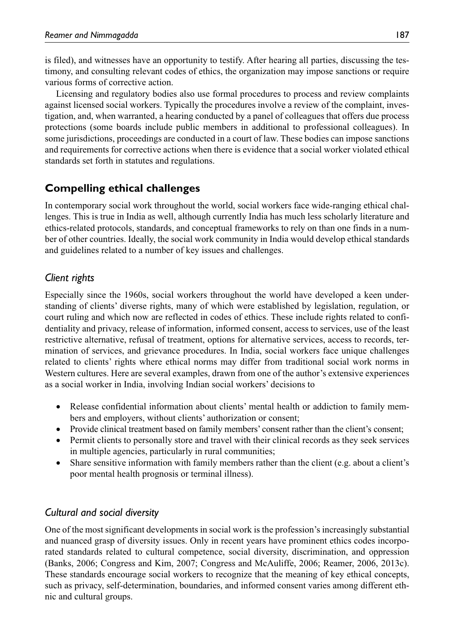is filed), and witnesses have an opportunity to testify. After hearing all parties, discussing the testimony, and consulting relevant codes of ethics, the organization may impose sanctions or require various forms of corrective action.

Licensing and regulatory bodies also use formal procedures to process and review complaints against licensed social workers. Typically the procedures involve a review of the complaint, investigation, and, when warranted, a hearing conducted by a panel of colleagues that offers due process protections (some boards include public members in additional to professional colleagues). In some jurisdictions, proceedings are conducted in a court of law. These bodies can impose sanctions and requirements for corrective actions when there is evidence that a social worker violated ethical standards set forth in statutes and regulations.

# **Compelling ethical challenges**

In contemporary social work throughout the world, social workers face wide-ranging ethical challenges. This is true in India as well, although currently India has much less scholarly literature and ethics-related protocols, standards, and conceptual frameworks to rely on than one finds in a number of other countries. Ideally, the social work community in India would develop ethical standards and guidelines related to a number of key issues and challenges.

# *Client rights*

Especially since the 1960s, social workers throughout the world have developed a keen understanding of clients' diverse rights, many of which were established by legislation, regulation, or court ruling and which now are reflected in codes of ethics. These include rights related to confidentiality and privacy, release of information, informed consent, access to services, use of the least restrictive alternative, refusal of treatment, options for alternative services, access to records, termination of services, and grievance procedures. In India, social workers face unique challenges related to clients' rights where ethical norms may differ from traditional social work norms in Western cultures. Here are several examples, drawn from one of the author's extensive experiences as a social worker in India, involving Indian social workers' decisions to

- Release confidential information about clients' mental health or addiction to family members and employers, without clients' authorization or consent;
- Provide clinical treatment based on family members' consent rather than the client's consent;
- Permit clients to personally store and travel with their clinical records as they seek services in multiple agencies, particularly in rural communities;
- Share sensitive information with family members rather than the client (e.g. about a client's poor mental health prognosis or terminal illness).

# *Cultural and social diversity*

One of the most significant developments in social work is the profession's increasingly substantial and nuanced grasp of diversity issues. Only in recent years have prominent ethics codes incorporated standards related to cultural competence, social diversity, discrimination, and oppression (Banks, 2006; Congress and Kim, 2007; Congress and McAuliffe, 2006; Reamer, 2006, 2013c). These standards encourage social workers to recognize that the meaning of key ethical concepts, such as privacy, self-determination, boundaries, and informed consent varies among different ethnic and cultural groups.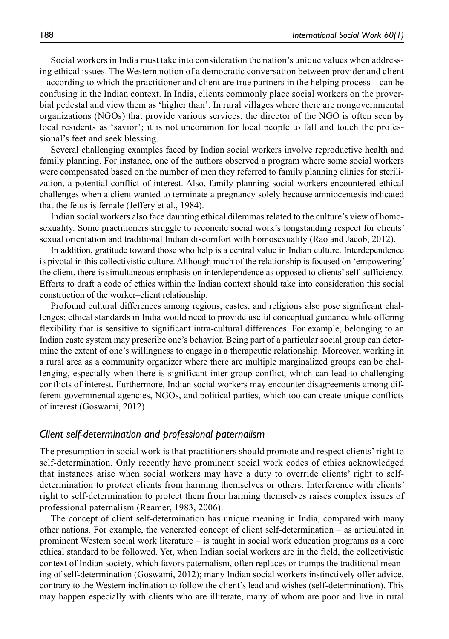Social workers in India must take into consideration the nation's unique values when addressing ethical issues. The Western notion of a democratic conversation between provider and client – according to which the practitioner and client are true partners in the helping process – can be confusing in the Indian context. In India, clients commonly place social workers on the proverbial pedestal and view them as 'higher than'. In rural villages where there are nongovernmental organizations (NGOs) that provide various services, the director of the NGO is often seen by local residents as 'savior'; it is not uncommon for local people to fall and touch the professional's feet and seek blessing.

Several challenging examples faced by Indian social workers involve reproductive health and family planning. For instance, one of the authors observed a program where some social workers were compensated based on the number of men they referred to family planning clinics for sterilization, a potential conflict of interest. Also, family planning social workers encountered ethical challenges when a client wanted to terminate a pregnancy solely because amniocentesis indicated that the fetus is female (Jeffery et al., 1984).

Indian social workers also face daunting ethical dilemmas related to the culture's view of homosexuality. Some practitioners struggle to reconcile social work's longstanding respect for clients' sexual orientation and traditional Indian discomfort with homosexuality (Rao and Jacob, 2012).

In addition, gratitude toward those who help is a central value in Indian culture. Interdependence is pivotal in this collectivistic culture. Although much of the relationship is focused on 'empowering' the client, there is simultaneous emphasis on interdependence as opposed to clients' self-sufficiency. Efforts to draft a code of ethics within the Indian context should take into consideration this social construction of the worker–client relationship.

Profound cultural differences among regions, castes, and religions also pose significant challenges; ethical standards in India would need to provide useful conceptual guidance while offering flexibility that is sensitive to significant intra-cultural differences. For example, belonging to an Indian caste system may prescribe one's behavior. Being part of a particular social group can determine the extent of one's willingness to engage in a therapeutic relationship. Moreover, working in a rural area as a community organizer where there are multiple marginalized groups can be challenging, especially when there is significant inter-group conflict, which can lead to challenging conflicts of interest. Furthermore, Indian social workers may encounter disagreements among different governmental agencies, NGOs, and political parties, which too can create unique conflicts of interest (Goswami, 2012).

#### *Client self-determination and professional paternalism*

The presumption in social work is that practitioners should promote and respect clients' right to self-determination. Only recently have prominent social work codes of ethics acknowledged that instances arise when social workers may have a duty to override clients' right to selfdetermination to protect clients from harming themselves or others. Interference with clients' right to self-determination to protect them from harming themselves raises complex issues of professional paternalism (Reamer, 1983, 2006).

The concept of client self-determination has unique meaning in India, compared with many other nations. For example, the venerated concept of client self-determination – as articulated in prominent Western social work literature – is taught in social work education programs as a core ethical standard to be followed. Yet, when Indian social workers are in the field, the collectivistic context of Indian society, which favors paternalism, often replaces or trumps the traditional meaning of self-determination (Goswami, 2012); many Indian social workers instinctively offer advice, contrary to the Western inclination to follow the client's lead and wishes (self-determination). This may happen especially with clients who are illiterate, many of whom are poor and live in rural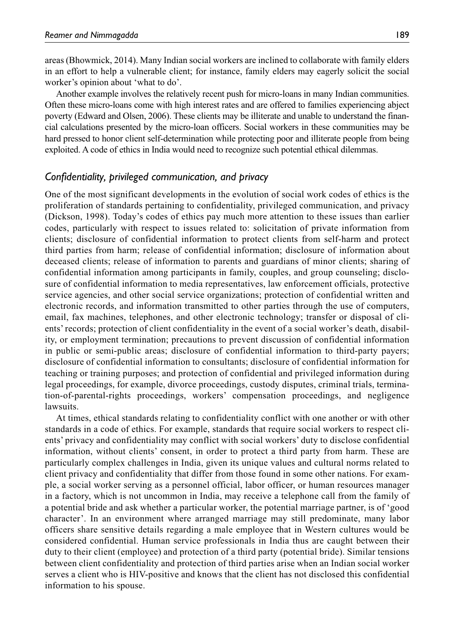areas (Bhowmick, 2014). Many Indian social workers are inclined to collaborate with family elders in an effort to help a vulnerable client; for instance, family elders may eagerly solicit the social worker's opinion about 'what to do'.

Another example involves the relatively recent push for micro-loans in many Indian communities. Often these micro-loans come with high interest rates and are offered to families experiencing abject poverty (Edward and Olsen, 2006). These clients may be illiterate and unable to understand the financial calculations presented by the micro-loan officers. Social workers in these communities may be hard pressed to honor client self-determination while protecting poor and illiterate people from being exploited. A code of ethics in India would need to recognize such potential ethical dilemmas.

#### *Confidentiality, privileged communication, and privacy*

One of the most significant developments in the evolution of social work codes of ethics is the proliferation of standards pertaining to confidentiality, privileged communication, and privacy (Dickson, 1998). Today's codes of ethics pay much more attention to these issues than earlier codes, particularly with respect to issues related to: solicitation of private information from clients; disclosure of confidential information to protect clients from self-harm and protect third parties from harm; release of confidential information; disclosure of information about deceased clients; release of information to parents and guardians of minor clients; sharing of confidential information among participants in family, couples, and group counseling; disclosure of confidential information to media representatives, law enforcement officials, protective service agencies, and other social service organizations; protection of confidential written and electronic records, and information transmitted to other parties through the use of computers, email, fax machines, telephones, and other electronic technology; transfer or disposal of clients' records; protection of client confidentiality in the event of a social worker's death, disability, or employment termination; precautions to prevent discussion of confidential information in public or semi-public areas; disclosure of confidential information to third-party payers; disclosure of confidential information to consultants; disclosure of confidential information for teaching or training purposes; and protection of confidential and privileged information during legal proceedings, for example, divorce proceedings, custody disputes, criminal trials, termination-of-parental-rights proceedings, workers' compensation proceedings, and negligence lawsuits.

At times, ethical standards relating to confidentiality conflict with one another or with other standards in a code of ethics. For example, standards that require social workers to respect clients' privacy and confidentiality may conflict with social workers' duty to disclose confidential information, without clients' consent, in order to protect a third party from harm. These are particularly complex challenges in India, given its unique values and cultural norms related to client privacy and confidentiality that differ from those found in some other nations. For example, a social worker serving as a personnel official, labor officer, or human resources manager in a factory, which is not uncommon in India, may receive a telephone call from the family of a potential bride and ask whether a particular worker, the potential marriage partner, is of 'good character'. In an environment where arranged marriage may still predominate, many labor officers share sensitive details regarding a male employee that in Western cultures would be considered confidential. Human service professionals in India thus are caught between their duty to their client (employee) and protection of a third party (potential bride). Similar tensions between client confidentiality and protection of third parties arise when an Indian social worker serves a client who is HIV-positive and knows that the client has not disclosed this confidential information to his spouse.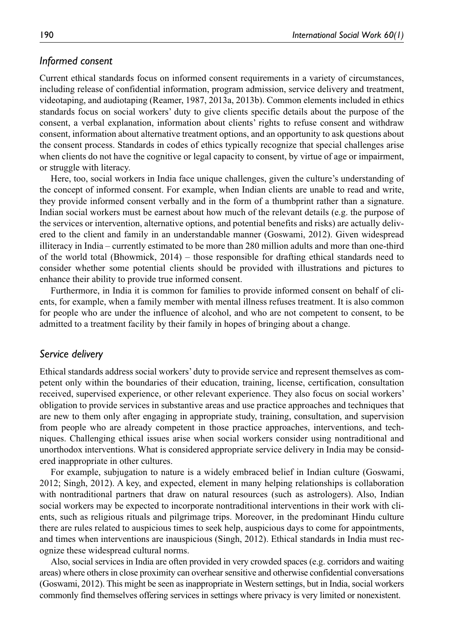#### *Informed consent*

Current ethical standards focus on informed consent requirements in a variety of circumstances, including release of confidential information, program admission, service delivery and treatment, videotaping, and audiotaping (Reamer, 1987, 2013a, 2013b). Common elements included in ethics standards focus on social workers' duty to give clients specific details about the purpose of the consent, a verbal explanation, information about clients' rights to refuse consent and withdraw consent, information about alternative treatment options, and an opportunity to ask questions about the consent process. Standards in codes of ethics typically recognize that special challenges arise when clients do not have the cognitive or legal capacity to consent, by virtue of age or impairment, or struggle with literacy.

Here, too, social workers in India face unique challenges, given the culture's understanding of the concept of informed consent. For example, when Indian clients are unable to read and write, they provide informed consent verbally and in the form of a thumbprint rather than a signature. Indian social workers must be earnest about how much of the relevant details (e.g. the purpose of the services or intervention, alternative options, and potential benefits and risks) are actually delivered to the client and family in an understandable manner (Goswami, 2012). Given widespread illiteracy in India – currently estimated to be more than 280 million adults and more than one-third of the world total (Bhowmick, 2014) – those responsible for drafting ethical standards need to consider whether some potential clients should be provided with illustrations and pictures to enhance their ability to provide true informed consent.

Furthermore, in India it is common for families to provide informed consent on behalf of clients, for example, when a family member with mental illness refuses treatment. It is also common for people who are under the influence of alcohol, and who are not competent to consent, to be admitted to a treatment facility by their family in hopes of bringing about a change.

#### *Service delivery*

Ethical standards address social workers' duty to provide service and represent themselves as competent only within the boundaries of their education, training, license, certification, consultation received, supervised experience, or other relevant experience. They also focus on social workers' obligation to provide services in substantive areas and use practice approaches and techniques that are new to them only after engaging in appropriate study, training, consultation, and supervision from people who are already competent in those practice approaches, interventions, and techniques. Challenging ethical issues arise when social workers consider using nontraditional and unorthodox interventions. What is considered appropriate service delivery in India may be considered inappropriate in other cultures.

For example, subjugation to nature is a widely embraced belief in Indian culture (Goswami, 2012; Singh, 2012). A key, and expected, element in many helping relationships is collaboration with nontraditional partners that draw on natural resources (such as astrologers). Also, Indian social workers may be expected to incorporate nontraditional interventions in their work with clients, such as religious rituals and pilgrimage trips. Moreover, in the predominant Hindu culture there are rules related to auspicious times to seek help, auspicious days to come for appointments, and times when interventions are inauspicious (Singh, 2012). Ethical standards in India must recognize these widespread cultural norms.

Also, social services in India are often provided in very crowded spaces (e.g. corridors and waiting areas) where others in close proximity can overhear sensitive and otherwise confidential conversations (Goswami, 2012). This might be seen as inappropriate in Western settings, but in India, social workers commonly find themselves offering services in settings where privacy is very limited or nonexistent.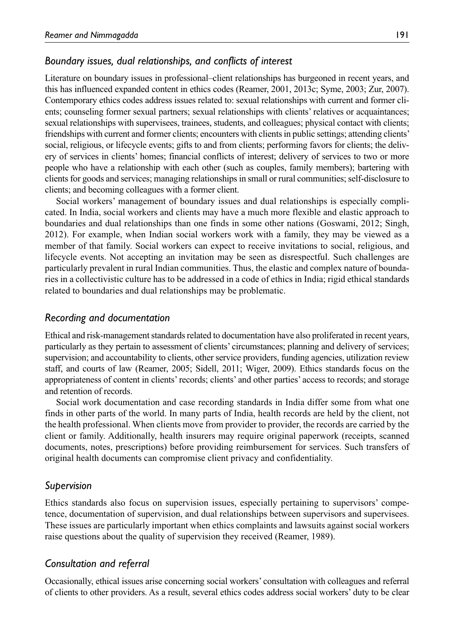### *Boundary issues, dual relationships, and conflicts of interest*

Literature on boundary issues in professional–client relationships has burgeoned in recent years, and this has influenced expanded content in ethics codes (Reamer, 2001, 2013c; Syme, 2003; Zur, 2007). Contemporary ethics codes address issues related to: sexual relationships with current and former clients; counseling former sexual partners; sexual relationships with clients' relatives or acquaintances; sexual relationships with supervisees, trainees, students, and colleagues; physical contact with clients; friendships with current and former clients; encounters with clients in public settings; attending clients' social, religious, or lifecycle events; gifts to and from clients; performing favors for clients; the delivery of services in clients' homes; financial conflicts of interest; delivery of services to two or more people who have a relationship with each other (such as couples, family members); bartering with clients for goods and services; managing relationships in small or rural communities; self-disclosure to clients; and becoming colleagues with a former client.

Social workers' management of boundary issues and dual relationships is especially complicated. In India, social workers and clients may have a much more flexible and elastic approach to boundaries and dual relationships than one finds in some other nations (Goswami, 2012; Singh, 2012). For example, when Indian social workers work with a family, they may be viewed as a member of that family. Social workers can expect to receive invitations to social, religious, and lifecycle events. Not accepting an invitation may be seen as disrespectful. Such challenges are particularly prevalent in rural Indian communities. Thus, the elastic and complex nature of boundaries in a collectivistic culture has to be addressed in a code of ethics in India; rigid ethical standards related to boundaries and dual relationships may be problematic.

#### *Recording and documentation*

Ethical and risk-management standards related to documentation have also proliferated in recent years, particularly as they pertain to assessment of clients' circumstances; planning and delivery of services; supervision; and accountability to clients, other service providers, funding agencies, utilization review staff, and courts of law (Reamer, 2005; Sidell, 2011; Wiger, 2009). Ethics standards focus on the appropriateness of content in clients' records; clients' and other parties' access to records; and storage and retention of records.

Social work documentation and case recording standards in India differ some from what one finds in other parts of the world. In many parts of India, health records are held by the client, not the health professional. When clients move from provider to provider, the records are carried by the client or family. Additionally, health insurers may require original paperwork (receipts, scanned documents, notes, prescriptions) before providing reimbursement for services. Such transfers of original health documents can compromise client privacy and confidentiality.

#### *Supervision*

Ethics standards also focus on supervision issues, especially pertaining to supervisors' competence, documentation of supervision, and dual relationships between supervisors and supervisees. These issues are particularly important when ethics complaints and lawsuits against social workers raise questions about the quality of supervision they received (Reamer, 1989).

#### *Consultation and referral*

Occasionally, ethical issues arise concerning social workers' consultation with colleagues and referral of clients to other providers. As a result, several ethics codes address social workers' duty to be clear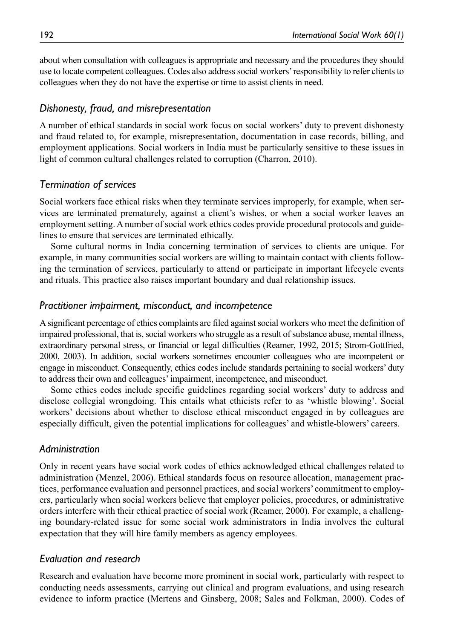about when consultation with colleagues is appropriate and necessary and the procedures they should use to locate competent colleagues. Codes also address social workers' responsibility to refer clients to colleagues when they do not have the expertise or time to assist clients in need.

#### *Dishonesty, fraud, and misrepresentation*

A number of ethical standards in social work focus on social workers' duty to prevent dishonesty and fraud related to, for example, misrepresentation, documentation in case records, billing, and employment applications. Social workers in India must be particularly sensitive to these issues in light of common cultural challenges related to corruption (Charron, 2010).

#### *Termination of services*

Social workers face ethical risks when they terminate services improperly, for example, when services are terminated prematurely, against a client's wishes, or when a social worker leaves an employment setting. A number of social work ethics codes provide procedural protocols and guidelines to ensure that services are terminated ethically.

Some cultural norms in India concerning termination of services to clients are unique. For example, in many communities social workers are willing to maintain contact with clients following the termination of services, particularly to attend or participate in important lifecycle events and rituals. This practice also raises important boundary and dual relationship issues.

#### *Practitioner impairment, misconduct, and incompetence*

A significant percentage of ethics complaints are filed against social workers who meet the definition of impaired professional, that is, social workers who struggle as a result of substance abuse, mental illness, extraordinary personal stress, or financial or legal difficulties (Reamer, 1992, 2015; Strom-Gottfried, 2000, 2003). In addition, social workers sometimes encounter colleagues who are incompetent or engage in misconduct. Consequently, ethics codes include standards pertaining to social workers' duty to address their own and colleagues' impairment, incompetence, and misconduct.

Some ethics codes include specific guidelines regarding social workers' duty to address and disclose collegial wrongdoing. This entails what ethicists refer to as 'whistle blowing'. Social workers' decisions about whether to disclose ethical misconduct engaged in by colleagues are especially difficult, given the potential implications for colleagues' and whistle-blowers' careers.

#### *Administration*

Only in recent years have social work codes of ethics acknowledged ethical challenges related to administration (Menzel, 2006). Ethical standards focus on resource allocation, management practices, performance evaluation and personnel practices, and social workers' commitment to employers, particularly when social workers believe that employer policies, procedures, or administrative orders interfere with their ethical practice of social work (Reamer, 2000). For example, a challenging boundary-related issue for some social work administrators in India involves the cultural expectation that they will hire family members as agency employees.

#### *Evaluation and research*

Research and evaluation have become more prominent in social work, particularly with respect to conducting needs assessments, carrying out clinical and program evaluations, and using research evidence to inform practice (Mertens and Ginsberg, 2008; Sales and Folkman, 2000). Codes of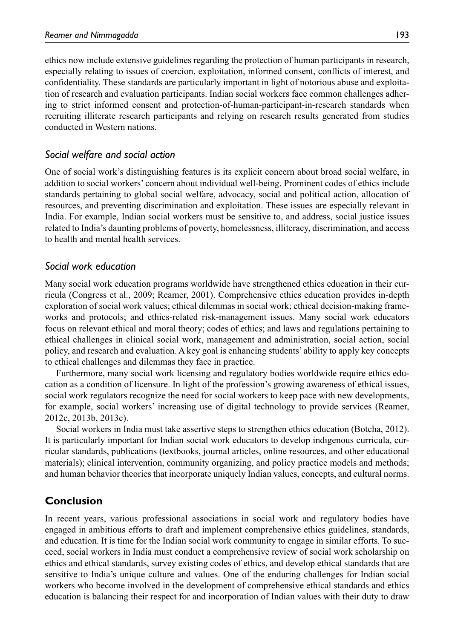ethics now include extensive guidelines regarding the protection of human participants in research, especially relating to issues of coercion, exploitation, informed consent, conflicts of interest, and confidentiality. These standards are particularly important in light of notorious abuse and exploitation of research and evaluation participants. Indian social workers face common challenges adhering to strict informed consent and protection-of-human-participant-in-research standards when recruiting illiterate research participants and relying on research results generated from studies conducted in Western nations.

#### *Social welfare and social action*

One of social work's distinguishing features is its explicit concern about broad social welfare, in addition to social workers' concern about individual well-being. Prominent codes of ethics include standards pertaining to global social welfare, advocacy, social and political action, allocation of resources, and preventing discrimination and exploitation. These issues are especially relevant in India. For example, Indian social workers must be sensitive to, and address, social justice issues related to India's daunting problems of poverty, homelessness, illiteracy, discrimination, and access to health and mental health services.

#### *Social work education*

Many social work education programs worldwide have strengthened ethics education in their curricula (Congress et al., 2009; Reamer, 2001). Comprehensive ethics education provides in-depth exploration of social work values; ethical dilemmas in social work; ethical decision-making frameworks and protocols; and ethics-related risk-management issues. Many social work educators focus on relevant ethical and moral theory; codes of ethics; and laws and regulations pertaining to ethical challenges in clinical social work, management and administration, social action, social policy, and research and evaluation. A key goal is enhancing students' ability to apply key concepts to ethical challenges and dilemmas they face in practice.

Furthermore, many social work licensing and regulatory bodies worldwide require ethics education as a condition of licensure. In light of the profession's growing awareness of ethical issues, social work regulators recognize the need for social workers to keep pace with new developments, for example, social workers' increasing use of digital technology to provide services (Reamer, 2012c, 2013b, 2013c).

Social workers in India must take assertive steps to strengthen ethics education (Botcha, 2012). It is particularly important for Indian social work educators to develop indigenous curricula, curricular standards, publications (textbooks, journal articles, online resources, and other educational materials); clinical intervention, community organizing, and policy practice models and methods; and human behavior theories that incorporate uniquely Indian values, concepts, and cultural norms.

# **Conclusion**

In recent years, various professional associations in social work and regulatory bodies have engaged in ambitious efforts to draft and implement comprehensive ethics guidelines, standards, and education. It is time for the Indian social work community to engage in similar efforts. To succeed, social workers in India must conduct a comprehensive review of social work scholarship on ethics and ethical standards, survey existing codes of ethics, and develop ethical standards that are sensitive to India's unique culture and values. One of the enduring challenges for Indian social workers who become involved in the development of comprehensive ethical standards and ethics education is balancing their respect for and incorporation of Indian values with their duty to draw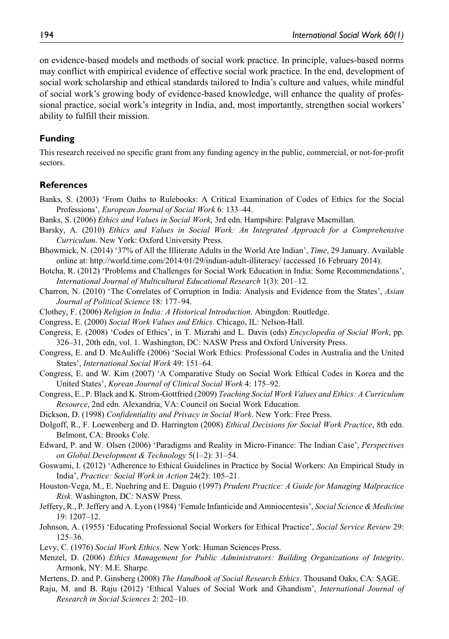on evidence-based models and methods of social work practice. In principle, values-based norms may conflict with empirical evidence of effective social work practice. In the end, development of social work scholarship and ethical standards tailored to India's culture and values, while mindful of social work's growing body of evidence-based knowledge, will enhance the quality of professional practice, social work's integrity in India, and, most importantly, strengthen social workers' ability to fulfill their mission.

#### **Funding**

This research received no specific grant from any funding agency in the public, commercial, or not-for-profit sectors.

#### **References**

- Banks, S. (2003) 'From Oaths to Rulebooks: A Critical Examination of Codes of Ethics for the Social Professions', *European Journal of Social Work* 6: 133–44.
- Banks, S. (2006) *Ethics and Values in Social Work*, 3rd edn. Hampshire: Palgrave Macmillan.
- Barsky, A. (2010) *Ethics and Values in Social Work: An Integrated Approach for a Comprehensive Curriculum*. New York: Oxford University Press.
- Bhowmick, N. (2014) '37% of All the Illiterate Adults in the World Are Indian', *Time*, 29 January. Available online at: http://world.time.com/2014/01/29/indian-adult-illiteracy/ (accessed 16 February 2014).
- Botcha, R. (2012) 'Problems and Challenges for Social Work Education in India: Some Recommendations', *International Journal of Multicultural Educational Research* 1(3): 201–12.
- Charron, N. (2010) 'The Correlates of Corruption in India: Analysis and Evidence from the States', *Asian Journal of Political Science* 18: 177–94.
- Clothey, F. (2006) *Religion in India: A Historical Introduction*. Abingdon: Routledge.
- Congress, E. (2000) *Social Work Values and Ethics*. Chicago, IL: Nelson-Hall.
- Congress, E. (2008) 'Codes of Ethics', in T. Mizrahi and L. Davis (eds) *Encyclopedia of Social Work*, pp. 326–31, 20th edn, vol. 1. Washington, DC: NASW Press and Oxford University Press.
- Congress, E. and D. McAuliffe (2006) 'Social Work Ethics: Professional Codes in Australia and the United States', *International Social Work* 49: 151–64.
- Congress, E. and W. Kim (2007) 'A Comparative Study on Social Work Ethical Codes in Korea and the United States', *Korean Journal of Clinical Social Work* 4: 175–92.
- Congress, E., P. Black and K. Strom-Gottfried (2009) *Teaching Social Work Values and Ethics: A Curriculum Resource*, 2nd edn. Alexandria, VA: Council on Social Work Education.
- Dickson, D. (1998) *Confidentiality and Privacy in Social Work*. New York: Free Press.
- Dolgoff, R., F. Loewenberg and D. Harrington (2008) *Ethical Decisions for Social Work Practice*, 8th edn. Belmont, CA: Brooks Cole.
- Edward, P. and W. Olsen (2006) 'Paradigms and Reality in Micro-Finance: The Indian Case', *Perspectives on Global Development & Technology* 5(1–2): 31–54.
- Goswami, I. (2012) 'Adherence to Ethical Guidelines in Practice by Social Workers: An Empirical Study in India', *Practice: Social Work in Action* 24(2): 105–21.
- Houston-Vega, M., E. Nuehring and E. Daguio (1997) *Prudent Practice: A Guide for Managing Malpractice Risk*. Washington, DC: NASW Press.
- Jeffery, R., P. Jeffery and A. Lyon (1984) 'Female Infanticide and Amniocentesis', *Social Science & Medicine* 19: 1207–12.
- Johnson, A. (1955) 'Educating Professional Social Workers for Ethical Practice', *Social Service Review* 29: 125–36.
- Levy, C. (1976) *Social Work Ethics*. New York: Human Sciences Press.
- Menzel, D. (2006) *Ethics Management for Public Administrators: Building Organizations of Integrity*. Armonk, NY: M.E. Sharpe.
- Mertens, D. and P. Ginsberg (2008) *The Handbook of Social Research Ethics*. Thousand Oaks, CA: SAGE.
- Raju, M. and B. Raju (2012) 'Ethical Values of Social Work and Ghandism', *International Journal of Research in Social Sciences* 2: 202–10.